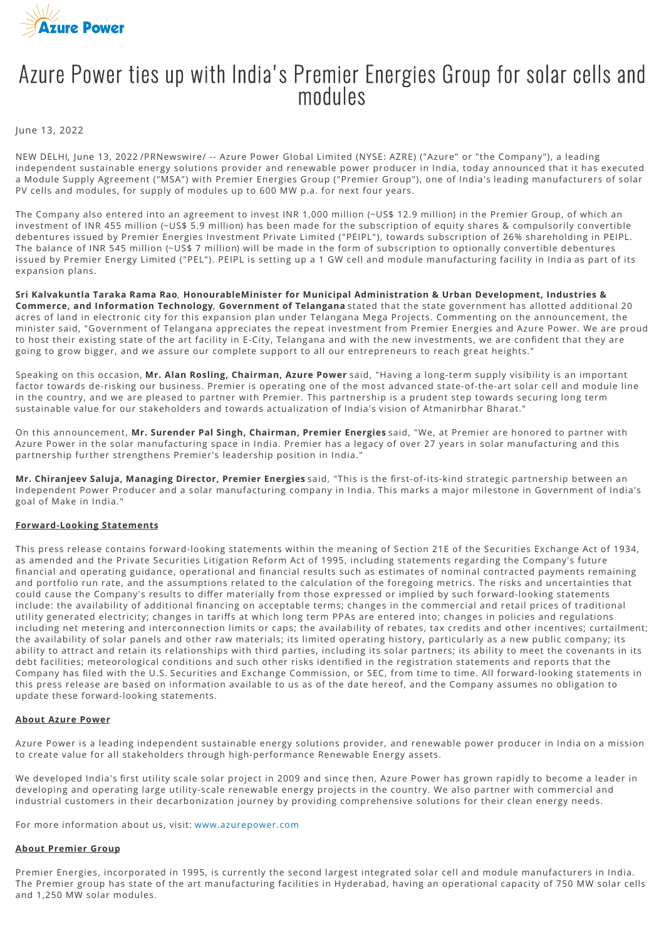

## Azure Power ties up with India's Premier Energies Group for solar cells and modules

June 13, 2022

NEW DELHI, June 13, 2022 /PRNewswire/ -- Azure Power Global Limited (NYSE: AZRE) ("Azure" or "the Company"), a leading independent sustainable energy solutions provider and renewable power producer in India, today announced that it has executed a Module Supply Agreement ("MSA") with Premier Energies Group ("Premier Group"), one of India's leading manufacturers of solar PV cells and modules, for supply of modules up to 600 MW p.a. for next four years.

The Company also entered into an agreement to invest INR 1,000 million (~US\$ 12.9 million) in the Premier Group, of which an investment of INR 455 million (~US\$ 5.9 million) has been made for the subscription of equity shares & compulsorily convertible debentures issued by Premier Energies Investment Private Limited ("PEIPL"), towards subscription of 26% shareholding in PEIPL. The balance of INR 545 million (~US\$ 7 million) will be made in the form of subscription to optionally convertible debentures issued by Premier Energy Limited ("PEL"). PEIPL is setting up a 1 GW cell and module manufacturing facility in India as part of its expansion plans.

**Sri Kalvakuntla Taraka Rama Rao**, **HonourableMinister for Municipal Administration & Urban Development, Industries & Commerce, and Information Technology**, **Government of Telangana** stated that the state government has allotted additional 20 acres of land in electronic city for this expansion plan under Telangana Mega Projects. Commenting on the announcement, the minister said, "Government of Telangana appreciates the repeat investment from Premier Energies and Azure Power. We are proud to host their existing state of the art facility in E-City, Telangana and with the new investments, we are confident that they are going to grow bigger, and we assure our complete support to all our entrepreneurs to reach great heights."

Speaking on this occasion, **Mr. Alan Rosling, Chairman, Azure Power** said, "Having a long-term supply visibility is an important factor towards de-risking our business. Premier is operating one of the most advanced state-of-the-art solar cell and module line in the country, and we are pleased to partner with Premier. This partnership is a prudent step towards securing long term sustainable value for our stakeholders and towards actualization of India's vision of Atmanirbhar Bharat."

On this announcement, **Mr. Surender Pal Singh, Chairman, Premier Energies** said, "We, at Premier are honored to partner with Azure Power in the solar manufacturing space in India. Premier has a legacy of over 27 years in solar manufacturing and this partnership further strengthens Premier's leadership position in India."

Mr. Chiranjeev Saluja, Managing Director, Premier Energies said, "This is the first-of-its-kind strategic partnership between an Independent Power Producer and a solar manufacturing company in India. This marks a major milestone in Government of India's goal of Make in India."

## **Forward-Looking Statements**

This press release contains forward-looking statements within the meaning of Section 21E of the Securities Exchange Act of 1934, as amended and the Private Securities Litigation Reform Act of 1995, including statements regarding the Company's future financial and operating guidance, operational and financial results such as estimates of nominal contracted payments remaining and portfolio run rate, and the assumptions related to the calculation of the foregoing metrics. The risks and uncertainties that could cause the Company's results to differ materially from those expressed or implied by such forward-looking statements include: the availability of additional financing on acceptable terms; changes in the commercial and retail prices of traditional utility generated electricity; changes in tariffs at which long term PPAs are entered into; changes in policies and regulations including net metering and interconnection limits or caps; the availability of rebates, tax credits and other incentives; curtailment; the availability of solar panels and other raw materials; its limited operating history, particularly as a new public company; its ability to attract and retain its relationships with third parties, including its solar partners; its ability to meet the covenants in its debt facilities; meteorological conditions and such other risks identified in the registration statements and reports that the Company has filed with the U.S. Securities and Exchange Commission, or SEC, from time to time. All forward-looking statements in this press release are based on information available to us as of the date hereof, and the Company assumes no obligation to update these forward-looking statements.

## **About Azure Power**

Azure Power is a leading independent sustainable energy solutions provider, and renewable power producer in India on a mission to create value for all stakeholders through high-performance Renewable Energy assets.

We developed India's first utility scale solar project in 2009 and since then, Azure Power has grown rapidly to become a leader in developing and operating large utility-scale renewable energy projects in the country. We also partner with commercial and industrial customers in their decarbonization journey by providing comprehensive solutions for their clean energy needs.

For more information about us, visit: [www.azurepower.com](http://www.azurepower.com/)

## **About Premier Group**

Premier Energies, incorporated in 1995, is currently the second largest integrated solar cell and module manufacturers in India. The Premier group has state of the art manufacturing facilities in Hyderabad, having an operational capacity of 750 MW solar cells and 1,250 MW solar modules.